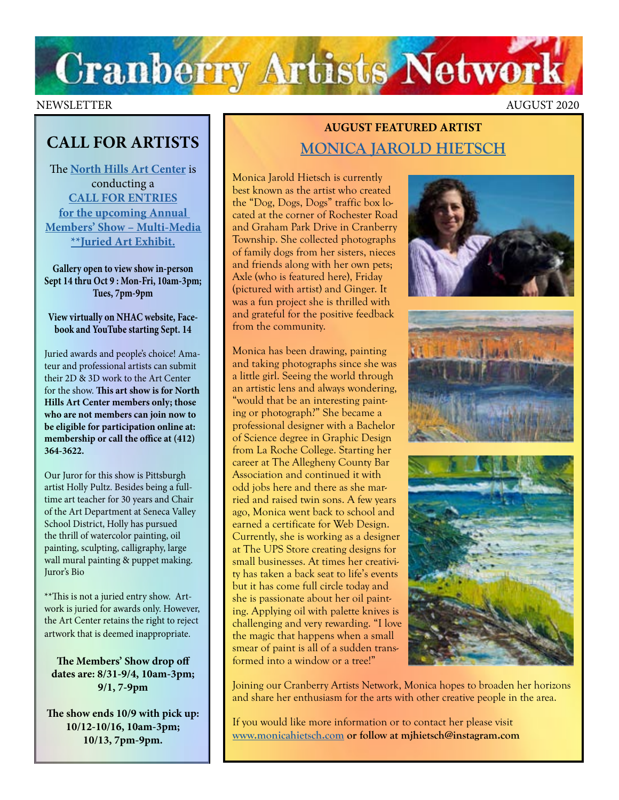

#### NEWSLETTER AUGUST 2020

# **CALL FOR ARTISTS**

The **[North Hills Art Center](https://northhillsartcenter.org/)** is conducting a **[CALL FOR ENTRIES](https://northhillsartcenter.org/resources/Documents/Shows/MembersShowCall%202020.jpg) [for the upcoming Annual](https://northhillsartcenter.org/resources/Documents/Shows/MembersShowCall%202020.jpg)  [Members' Show – Multi-Media](https://northhillsartcenter.org/resources/Documents/Shows/MembersShowCall%202020.jpg)  [\\*\\*Juried Art Exhibit.](https://northhillsartcenter.org/resources/Documents/Shows/MembersShowCall%202020.jpg)**

**Gallery open to view show in-person Sept 14 thru Oct 9 : Mon-Fri, 10am-3pm; Tues, 7pm-9pm**

#### **View virtually on NHAC website, Facebook and YouTube starting Sept. 14**

Juried awards and people's choice! Amateur and professional artists can submit their 2D & 3D work to the Art Center for the show. **This art show is for North Hills Art Center members only; those who are not members can join now to be eligible for participation online at: membership or call the office at (412) 364-3622.** 

Our Juror for this show is Pittsburgh artist Holly Pultz. Besides being a fulltime art teacher for 30 years and Chair of the Art Department at Seneca Valley School District, Holly has pursued the thrill of watercolor painting, oil painting, sculpting, calligraphy, large wall mural painting & puppet making. Juror's Bio

\*\*This is not a juried entry show. Artwork is juried for awards only. However, the Art Center retains the right to reject artwork that is deemed inappropriate.

**The Members' Show drop off dates are: 8/31-9/4, 10am-3pm; 9/1, 7-9pm** 

**The show ends 10/9 with pick up: 10/12-10/16, 10am-3pm; 10/13, 7pm-9pm.**

# **AUGUST FEATURED ARTIST [MONICA JAROLD HIETSCH](http://www.monicahietsch.com)**

Monica Jarold Hietsch is currently best known as the artist who created the "Dog, Dogs, Dogs" traffic box located at the corner of Rochester Road and Graham Park Drive in Cranberry Township. She collected photographs of family dogs from her sisters, nieces and friends along with her own pets; Axle (who is featured here), Friday (pictured with artist) and Ginger. It was a fun project she is thrilled with and grateful for the positive feedback from the community.

Monica has been drawing, painting and taking photographs since she was a little girl. Seeing the world through an artistic lens and always wondering, "would that be an interesting painting or photograph?" She became a professional designer with a Bachelor of Science degree in Graphic Design from La Roche College. Starting her career at The Allegheny County Bar Association and continued it with odd jobs here and there as she married and raised twin sons. A few years ago, Monica went back to school and earned a certificate for Web Design. Currently, she is working as a designer at The UPS Store creating designs for small businesses. At times her creativity has taken a back seat to life's events but it has come full circle today and she is passionate about her oil painting. Applying oil with palette knives is challenging and very rewarding. "I love the magic that happens when a small smear of paint is all of a sudden transformed into a window or a tree!"







Joining our Cranberry Artists Network, Monica hopes to broaden her horizons and share her enthusiasm for the arts with other creative people in the area.

If you would like more information or to contact her please visit **[www.monicahietsch.com](http://www.monicahietsch.com) or follow at mjhietsch@instagram.com**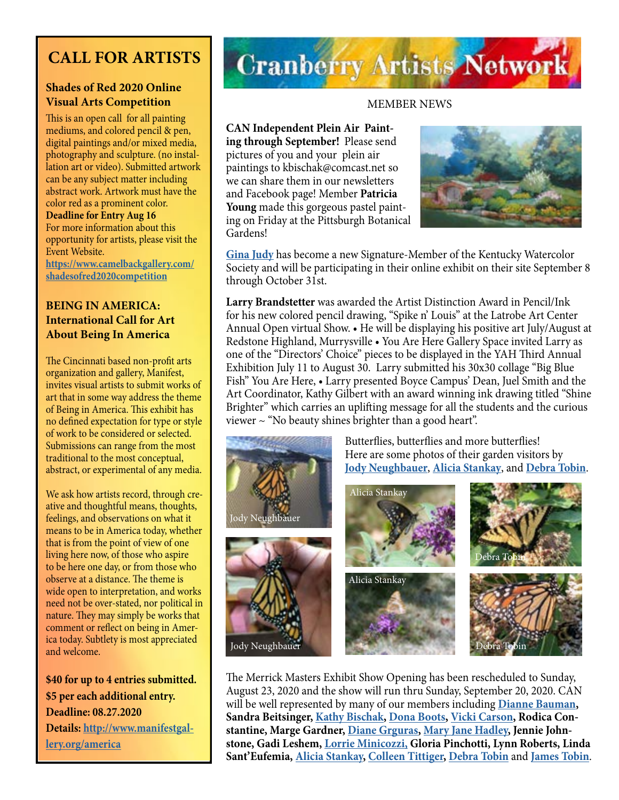# **CALL FOR ARTISTS**

## **Shades of Red 2020 Online Visual Arts Competition**

This is an open call for all painting mediums, and colored pencil & pen, digital paintings and/or mixed media, photography and sculpture. (no installation art or video). Submitted artwork can be any subject matter including abstract work. Artwork must have the color red as a prominent color. **Deadline for Entry Aug 16** For more information about this opportunity for artists, please visit the Event Website. **[https://www.camelbackgallery.com/](https://www.camelbackgallery.com/shadesofred2020competition)**

**[shadesofred2020competition](https://www.camelbackgallery.com/shadesofred2020competition)**

## **BEING IN AMERICA: International Call for Art About Being In America**

The Cincinnati based non-profit arts organization and gallery, Manifest, invites visual artists to submit works of art that in some way address the theme of Being in America. This exhibit has no defined expectation for type or style of work to be considered or selected. Submissions can range from the most traditional to the most conceptual, abstract, or experimental of any media.

We ask how artists record, through creative and thoughtful means, thoughts, feelings, and observations on what it means to be in America today, whether that is from the point of view of one living here now, of those who aspire to be here one day, or from those who observe at a distance. The theme is wide open to interpretation, and works need not be over-stated, nor political in nature. They may simply be works that comment or reflect on being in America today. Subtlety is most appreciated and welcome.

**\$40 for up to 4 entries submitted. \$5 per each additional entry. Deadline: 08.27.2020 Details: [http://www.manifestgal](http://www.manifestgallery.org/america)[lery.org/america](http://www.manifestgallery.org/america)**

# **Cranberry Artists Network**

## MEMBER NEWS

**CAN Independent Plein Air Painting through September!** Please send pictures of you and your plein air paintings to kbischak@comcast.net so we can share them in our newsletters and Facebook page! Member **Patricia Young** made this gorgeous pastel painting on Friday at the Pittsburgh Botanical Gardens!



**[Gina Judy](https://www.facebook.com/gina.judy.31)** has become a new Signature-Member of the Kentucky Watercolor Society and will be participating in their online exhibit on their site September 8 through October 31st.

**Larry Brandstetter** was awarded the Artist Distinction Award in Pencil/Ink for his new colored pencil drawing, "Spike n' Louis" at the Latrobe Art Center Annual Open virtual Show. • He will be displaying his positive art July/August at Redstone Highland, Murrysville • You Are Here Gallery Space invited Larry as one of the "Directors' Choice" pieces to be displayed in the YAH Third Annual Exhibition July 11 to August 30. Larry submitted his 30x30 collage "Big Blue Fish" You Are Here, • Larry presented Boyce Campus' Dean, Juel Smith and the Art Coordinator, Kathy Gilbert with an award winning ink drawing titled "Shine Brighter" which carries an uplifting message for all the students and the curious viewer ~ "No beauty shines brighter than a good heart".



The Merrick Masters Exhibit Show Opening has been rescheduled to Sunday, August 23, 2020 and the show will run thru Sunday, September 20, 2020. CAN will be well represented by many of our members including **[Dianne Bauman,](http://www.diannebauman.com/) Sandra Beitsinger, [Kathy Bischak,](https://www.facebook.com/kathy.bischak) [Dona Boots,](https://blogger.donabootsart.com) [Vicki Carson,](https://fineartamerica.com/profiles/vicki-carson/shop/prints) Rodica Constantine, Marge Gardner, [Diane Grguras,](https://www.dianegrguras.com/) [Mary Jane Hadley](https://www.facebook.com/maryjane.hadley), Jennie Johnstone, Gadi Leshem, [Lorrie Minicozzi,](https://www.climbingthewalls.net/) Gloria Pinchotti, Lynn Roberts, Linda Sant'Eufemia, [Alicia Stankay](https://www.facebook.com/alicia.stankay), [Colleen Tittiger,](https://www.colleentittiger.com/) [Debra Tobin](http://www.debratobinart.com/)** and **[James Tobin](https://jamestobinart.com/)**.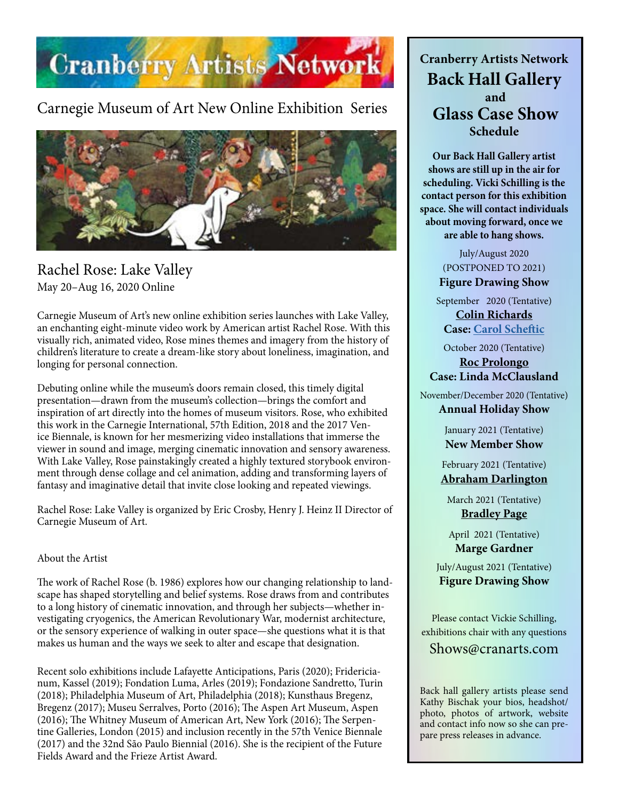

Carnegie Museum of Art New Online Exhibition Series



## Rachel Rose: Lake Valley May 20–Aug 16, 2020 Online

Carnegie Museum of Art's new online exhibition series launches with Lake Valley, an enchanting eight-minute video work by American artist Rachel Rose. With this visually rich, animated video, Rose mines themes and imagery from the history of children's literature to create a dream-like story about loneliness, imagination, and longing for personal connection.

Debuting online while the museum's doors remain closed, this timely digital presentation—drawn from the museum's collection—brings the comfort and inspiration of art directly into the homes of museum visitors. Rose, who exhibited this work in the Carnegie International, 57th Edition, 2018 and the 2017 Venice Biennale, is known for her mesmerizing video installations that immerse the viewer in sound and image, merging cinematic innovation and sensory awareness. With Lake Valley, Rose painstakingly created a highly textured storybook environment through dense collage and cel animation, adding and transforming layers of fantasy and imaginative detail that invite close looking and repeated viewings.

Rachel Rose: Lake Valley is organized by Eric Crosby, Henry J. Heinz II Director of Carnegie Museum of Art.

### About the Artist

The work of Rachel Rose (b. 1986) explores how our changing relationship to landscape has shaped storytelling and belief systems. Rose draws from and contributes to a long history of cinematic innovation, and through her subjects—whether investigating cryogenics, the American Revolutionary War, modernist architecture, or the sensory experience of walking in outer space—she questions what it is that makes us human and the ways we seek to alter and escape that designation.

Recent solo exhibitions include Lafayette Anticipations, Paris (2020); Fridericianum, Kassel (2019); Fondation Luma, Arles (2019); Fondazione Sandretto, Turin (2018); Philadelphia Museum of Art, Philadelphia (2018); Kunsthaus Bregenz, Bregenz (2017); Museu Serralves, Porto (2016); The Aspen Art Museum, Aspen (2016); The Whitney Museum of American Art, New York (2016); The Serpentine Galleries, London (2015) and inclusion recently in the 57th Venice Biennale (2017) and the 32nd São Paulo Biennial (2016). She is the recipient of the Future Fields Award and the Frieze Artist Award.

**Cranberry Artists Network Back Hall Gallery and Glass Case Show Schedule** 

**Our Back Hall Gallery artist shows are still up in the air for scheduling. Vicki Schilling is the contact person for this exhibition space. She will contact individuals about moving forward, once we are able to hang shows.**

> July/August 2020 (POSTPONED TO 2021) **Figure Drawing Show**

September 2020 (Tentative)

**[Colin Richards](https://www.colinrichardsart.com/) Case: [Carol Scheftic](http://convergentseries.com/)**

October 2020 (Tentative)

## **[Roc Prolongo](https://www.rocprologo.com/) Case: Linda McClausland**

November/December 2020 (Tentative)

**Annual Holiday Show**

January 2021 (Tentative) **New Member Show**

February 2021 (Tentative) **[Abraham Darlington](https://www.facebook.com/abraham.darlington)**

March 2021 (Tentative) **[Bradley Page](https://fireandfumes.com/)**

April 2021 (Tentative) **Marge Gardner**

July/August 2021 (Tentative) **Figure Drawing Show**

Please contact Vickie Schilling, exhibitions chair with any questions

Shows@cranarts.com

Back hall gallery artists please send Kathy Bischak your bios, headshot/ photo, photos of artwork, website and contact info now so she can prepare press releases in advance.